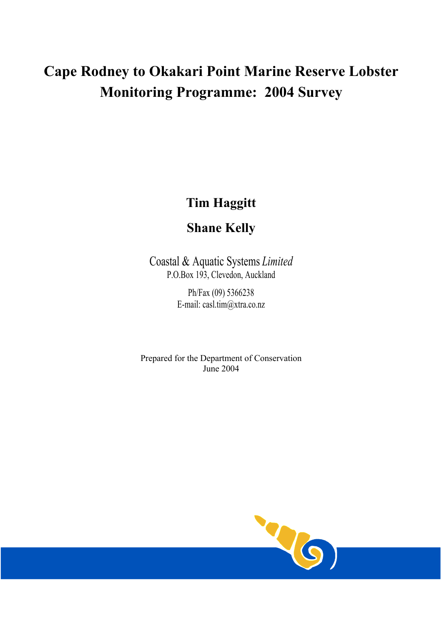# **Cape Rodney to Okakari Point Marine Reserve Lobster Monitoring Programme: 2004 Survey**

# **Tim Haggitt**

## **Shane Kelly**

Coastal & Aquatic Systems *Limited* P.O.Box 193, Clevedon, Auckland

> Ph/Fax (09) 5366238 E-mail: casl.tim@xtra.co.nz

Prepared for the Department of Conservation June 2004

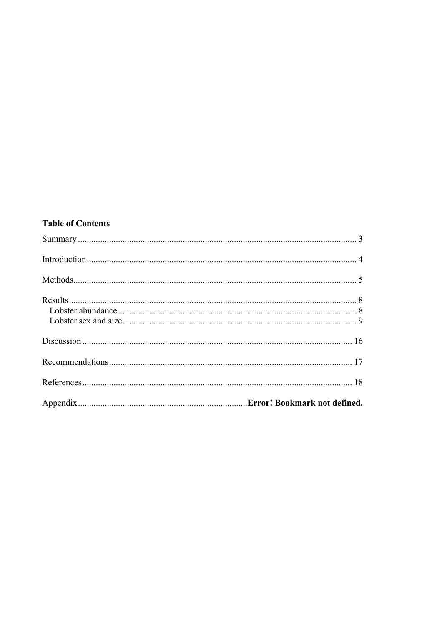### **Table of Contents**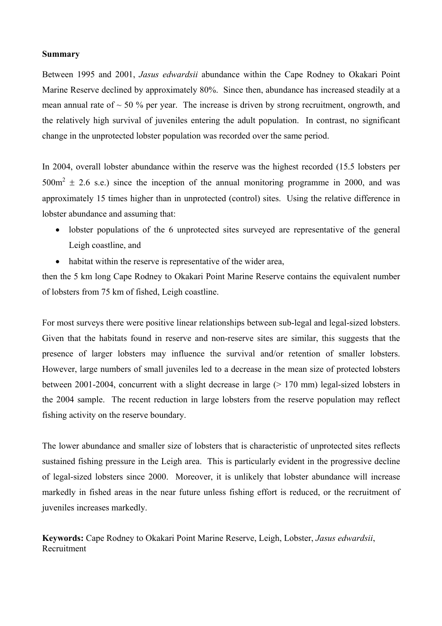#### **Summary**

Between 1995 and 2001, *Jasus edwardsii* abundance within the Cape Rodney to Okakari Point Marine Reserve declined by approximately 80%. Since then, abundance has increased steadily at a mean annual rate of  $\sim$  50 % per year. The increase is driven by strong recruitment, ongrowth, and the relatively high survival of juveniles entering the adult population. In contrast, no significant change in the unprotected lobster population was recorded over the same period.

In 2004, overall lobster abundance within the reserve was the highest recorded (15.5 lobsters per  $500m^2 \pm 2.6$  s.e.) since the inception of the annual monitoring programme in 2000, and was approximately 15 times higher than in unprotected (control) sites. Using the relative difference in lobster abundance and assuming that:

- lobster populations of the 6 unprotected sites surveyed are representative of the general Leigh coastline, and
- habitat within the reserve is representative of the wider area,

then the 5 km long Cape Rodney to Okakari Point Marine Reserve contains the equivalent number of lobsters from 75 km of fished, Leigh coastline.

For most surveys there were positive linear relationships between sub-legal and legal-sized lobsters. Given that the habitats found in reserve and non-reserve sites are similar, this suggests that the presence of larger lobsters may influence the survival and/or retention of smaller lobsters. However, large numbers of small juveniles led to a decrease in the mean size of protected lobsters between 2001-2004, concurrent with a slight decrease in large (> 170 mm) legal-sized lobsters in the 2004 sample. The recent reduction in large lobsters from the reserve population may reflect fishing activity on the reserve boundary.

The lower abundance and smaller size of lobsters that is characteristic of unprotected sites reflects sustained fishing pressure in the Leigh area. This is particularly evident in the progressive decline of legal-sized lobsters since 2000. Moreover, it is unlikely that lobster abundance will increase markedly in fished areas in the near future unless fishing effort is reduced, or the recruitment of juveniles increases markedly.

**Keywords:** Cape Rodney to Okakari Point Marine Reserve, Leigh, Lobster, *Jasus edwardsii*, Recruitment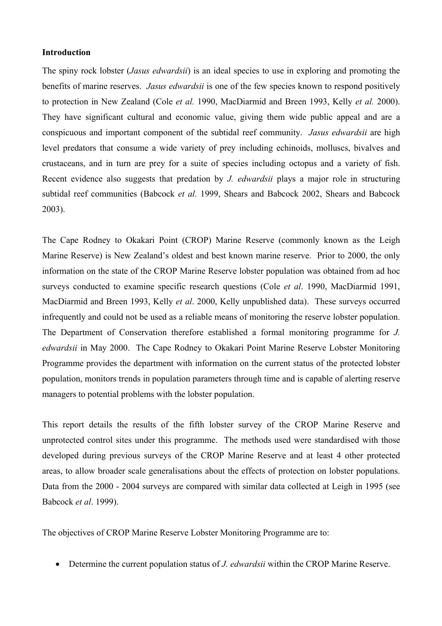#### **Introduction**

The spiny rock lobster (*Jasus edwardsii*) is an ideal species to use in exploring and promoting the benefits of marine reserves. *Jasus edwardsii* is one of the few species known to respond positively to protection in New Zealand (Cole *et al.* 1990, MacDiarmid and Breen 1993, Kelly *et al.* 2000). They have significant cultural and economic value, giving them wide public appeal and are a conspicuous and important component of the subtidal reef community. *Jasus edwardsii* are high level predators that consume a wide variety of prey including echinoids, molluscs, bivalves and crustaceans, and in turn are prey for a suite of species including octopus and a variety of fish. Recent evidence also suggests that predation by *J. edwardsii* plays a major role in structuring subtidal reef communities (Babcock *et al.* 1999, Shears and Babcock 2002, Shears and Babcock 2003).

The Cape Rodney to Okakari Point (CROP) Marine Reserve (commonly known as the Leigh Marine Reserve) is New Zealand's oldest and best known marine reserve. Prior to 2000, the only information on the state of the CROP Marine Reserve lobster population was obtained from ad hoc surveys conducted to examine specific research questions (Cole *et al*. 1990, MacDiarmid 1991, MacDiarmid and Breen 1993, Kelly *et al*. 2000, Kelly unpublished data). These surveys occurred infrequently and could not be used as a reliable means of monitoring the reserve lobster population. The Department of Conservation therefore established a formal monitoring programme for *J. edwardsii* in May 2000. The Cape Rodney to Okakari Point Marine Reserve Lobster Monitoring Programme provides the department with information on the current status of the protected lobster population, monitors trends in population parameters through time and is capable of alerting reserve managers to potential problems with the lobster population.

This report details the results of the fifth lobster survey of the CROP Marine Reserve and unprotected control sites under this programme. The methods used were standardised with those developed during previous surveys of the CROP Marine Reserve and at least 4 other protected areas, to allow broader scale generalisations about the effects of protection on lobster populations. Data from the 2000 - 2004 surveys are compared with similar data collected at Leigh in 1995 (see Babcock *et al*. 1999).

The objectives of CROP Marine Reserve Lobster Monitoring Programme are to:

• Determine the current population status of *J. edwardsii* within the CROP Marine Reserve.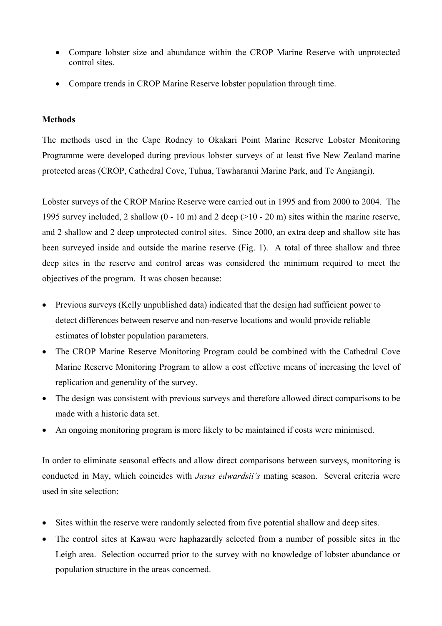- Compare lobster size and abundance within the CROP Marine Reserve with unprotected control sites.
- Compare trends in CROP Marine Reserve lobster population through time.

### **Methods**

The methods used in the Cape Rodney to Okakari Point Marine Reserve Lobster Monitoring Programme were developed during previous lobster surveys of at least five New Zealand marine protected areas (CROP, Cathedral Cove, Tuhua, Tawharanui Marine Park, and Te Angiangi).

Lobster surveys of the CROP Marine Reserve were carried out in 1995 and from 2000 to 2004. The 1995 survey included, 2 shallow (0 - 10 m) and 2 deep (>10 - 20 m) sites within the marine reserve, and 2 shallow and 2 deep unprotected control sites. Since 2000, an extra deep and shallow site has been surveyed inside and outside the marine reserve (Fig. 1). A total of three shallow and three deep sites in the reserve and control areas was considered the minimum required to meet the objectives of the program. It was chosen because:

- Previous surveys (Kelly unpublished data) indicated that the design had sufficient power to detect differences between reserve and non-reserve locations and would provide reliable estimates of lobster population parameters.
- The CROP Marine Reserve Monitoring Program could be combined with the Cathedral Cove Marine Reserve Monitoring Program to allow a cost effective means of increasing the level of replication and generality of the survey.
- The design was consistent with previous surveys and therefore allowed direct comparisons to be made with a historic data set.
- An ongoing monitoring program is more likely to be maintained if costs were minimised.

In order to eliminate seasonal effects and allow direct comparisons between surveys, monitoring is conducted in May, which coincides with *Jasus edwardsii's* mating season. Several criteria were used in site selection:

- Sites within the reserve were randomly selected from five potential shallow and deep sites.
- The control sites at Kawau were haphazardly selected from a number of possible sites in the Leigh area. Selection occurred prior to the survey with no knowledge of lobster abundance or population structure in the areas concerned.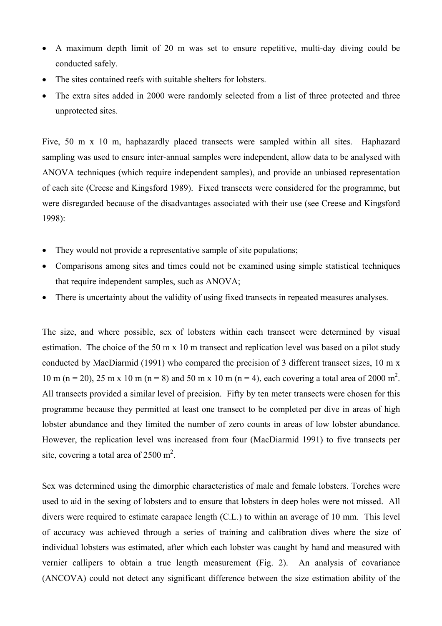- A maximum depth limit of 20 m was set to ensure repetitive, multi-day diving could be conducted safely.
- The sites contained reefs with suitable shelters for lobsters.
- The extra sites added in 2000 were randomly selected from a list of three protected and three unprotected sites.

Five, 50 m x 10 m, haphazardly placed transects were sampled within all sites. Haphazard sampling was used to ensure inter-annual samples were independent, allow data to be analysed with ANOVA techniques (which require independent samples), and provide an unbiased representation of each site (Creese and Kingsford 1989). Fixed transects were considered for the programme, but were disregarded because of the disadvantages associated with their use (see Creese and Kingsford 1998):

- They would not provide a representative sample of site populations;
- Comparisons among sites and times could not be examined using simple statistical techniques that require independent samples, such as ANOVA;
- There is uncertainty about the validity of using fixed transects in repeated measures analyses.

The size, and where possible, sex of lobsters within each transect were determined by visual estimation. The choice of the 50 m x 10 m transect and replication level was based on a pilot study conducted by MacDiarmid (1991) who compared the precision of 3 different transect sizes, 10 m x 10 m (n = 20), 25 m x 10 m (n = 8) and 50 m x 10 m (n = 4), each covering a total area of 2000 m<sup>2</sup>. All transects provided a similar level of precision. Fifty by ten meter transects were chosen for this programme because they permitted at least one transect to be completed per dive in areas of high lobster abundance and they limited the number of zero counts in areas of low lobster abundance. However, the replication level was increased from four (MacDiarmid 1991) to five transects per site, covering a total area of  $2500 \text{ m}^2$ .

Sex was determined using the dimorphic characteristics of male and female lobsters. Torches were used to aid in the sexing of lobsters and to ensure that lobsters in deep holes were not missed. All divers were required to estimate carapace length (C.L.) to within an average of 10 mm. This level of accuracy was achieved through a series of training and calibration dives where the size of individual lobsters was estimated, after which each lobster was caught by hand and measured with vernier callipers to obtain a true length measurement (Fig. 2). An analysis of covariance (ANCOVA) could not detect any significant difference between the size estimation ability of the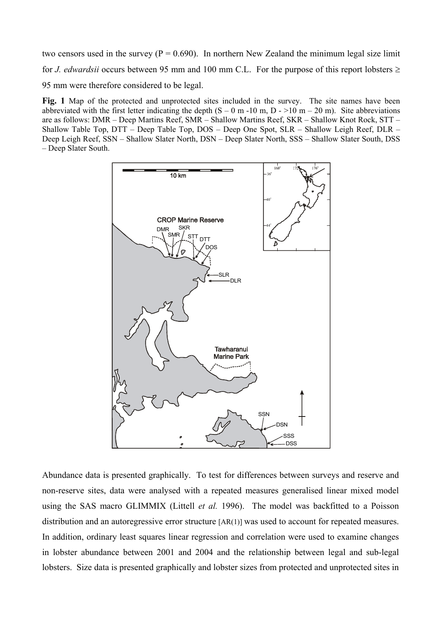two censors used in the survey ( $P = 0.690$ ). In northern New Zealand the minimum legal size limit for *J. edwardsii* occurs between 95 mm and 100 mm C.L. For the purpose of this report lobsters  $\geq$ 95 mm were therefore considered to be legal.

Fig. 1 Map of the protected and unprotected sites included in the survey. The site names have been abbreviated with the first letter indicating the depth  $(S - 0 m - 10 m, D - 10 m - 20 m)$ . Site abbreviations are as follows: DMR – Deep Martins Reef, SMR – Shallow Martins Reef, SKR – Shallow Knot Rock, STT – Shallow Table Top, DTT – Deep Table Top, DOS – Deep One Spot, SLR – Shallow Leigh Reef, DLR – Deep Leigh Reef, SSN – Shallow Slater North, DSN – Deep Slater North, SSS – Shallow Slater South, DSS – Deep Slater South.



Abundance data is presented graphically. To test for differences between surveys and reserve and non-reserve sites, data were analysed with a repeated measures generalised linear mixed model using the SAS macro GLIMMIX (Littell *et al.* 1996). The model was backfitted to a Poisson distribution and an autoregressive error structure [AR(1)] was used to account for repeated measures. In addition, ordinary least squares linear regression and correlation were used to examine changes in lobster abundance between 2001 and 2004 and the relationship between legal and sub-legal lobsters. Size data is presented graphically and lobster sizes from protected and unprotected sites in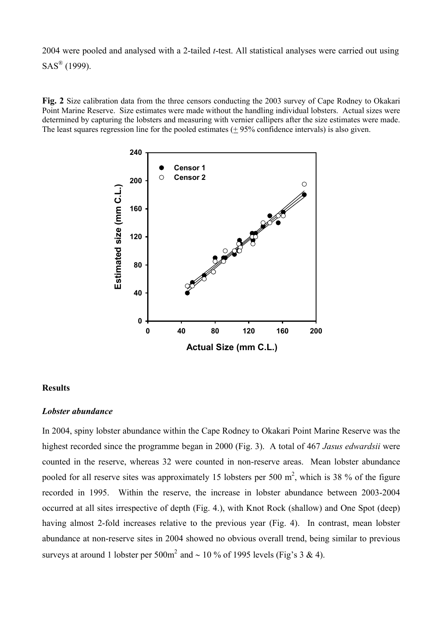2004 were pooled and analysed with a 2-tailed *t*-test. All statistical analyses were carried out using  $SAS^{\textcircled{R}}$  (1999).

**Fig. 2** Size calibration data from the three censors conducting the 2003 survey of Cape Rodney to Okakari Point Marine Reserve. Size estimates were made without the handling individual lobsters. Actual sizes were determined by capturing the lobsters and measuring with vernier callipers after the size estimates were made. The least squares regression line for the pooled estimates (+ 95% confidence intervals) is also given.



#### **Results**

#### *Lobster abundance*

In 2004, spiny lobster abundance within the Cape Rodney to Okakari Point Marine Reserve was the highest recorded since the programme began in 2000 (Fig. 3). A total of 467 *Jasus edwardsii* were counted in the reserve, whereas 32 were counted in non-reserve areas. Mean lobster abundance pooled for all reserve sites was approximately 15 lobsters per 500  $m^2$ , which is 38 % of the figure recorded in 1995. Within the reserve, the increase in lobster abundance between 2003-2004 occurred at all sites irrespective of depth (Fig. 4.), with Knot Rock (shallow) and One Spot (deep) having almost 2-fold increases relative to the previous year (Fig. 4). In contrast, mean lobster abundance at non-reserve sites in 2004 showed no obvious overall trend, being similar to previous surveys at around 1 lobster per 500m<sup>2</sup> and ~ 10 % of 1995 levels (Fig's 3 & 4).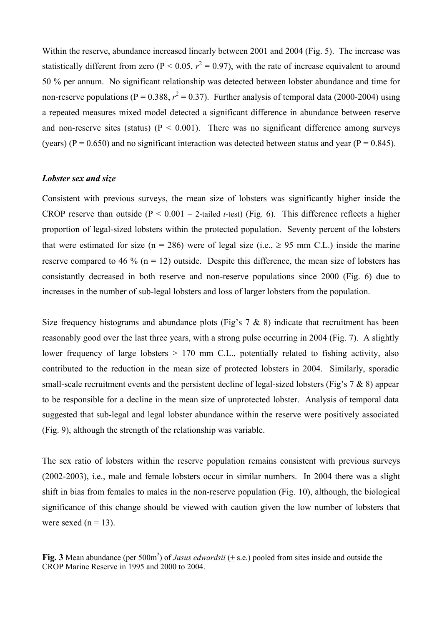Within the reserve, abundance increased linearly between 2001 and 2004 (Fig. 5). The increase was statistically different from zero ( $P < 0.05$ ,  $r^2 = 0.97$ ), with the rate of increase equivalent to around 50 % per annum. No significant relationship was detected between lobster abundance and time for non-reserve populations ( $P = 0.388$ ,  $r^2 = 0.37$ ). Further analysis of temporal data (2000-2004) using a repeated measures mixed model detected a significant difference in abundance between reserve and non-reserve sites (status) ( $P < 0.001$ ). There was no significant difference among surveys (years) (P = 0.650) and no significant interaction was detected between status and year (P = 0.845).

#### *Lobster sex and size*

Consistent with previous surveys, the mean size of lobsters was significantly higher inside the CROP reserve than outside  $(P < 0.001 - 2$ -tailed *t*-test) (Fig. 6). This difference reflects a higher proportion of legal-sized lobsters within the protected population. Seventy percent of the lobsters that were estimated for size (n = 286) were of legal size (i.e.,  $\geq$  95 mm C.L.) inside the marine reserve compared to 46 % ( $n = 12$ ) outside. Despite this difference, the mean size of lobsters has consistantly decreased in both reserve and non-reserve populations since 2000 (Fig. 6) due to increases in the number of sub-legal lobsters and loss of larger lobsters from the population.

Size frequency histograms and abundance plots (Fig's  $7 \& 8$ ) indicate that recruitment has been reasonably good over the last three years, with a strong pulse occurring in 2004 (Fig. 7). A slightly lower frequency of large lobsters  $> 170$  mm C.L., potentially related to fishing activity, also contributed to the reduction in the mean size of protected lobsters in 2004. Similarly, sporadic small-scale recruitment events and the persistent decline of legal-sized lobsters (Fig's 7 & 8) appear to be responsible for a decline in the mean size of unprotected lobster. Analysis of temporal data suggested that sub-legal and legal lobster abundance within the reserve were positively associated (Fig. 9), although the strength of the relationship was variable.

The sex ratio of lobsters within the reserve population remains consistent with previous surveys (2002-2003), i.e., male and female lobsters occur in similar numbers. In 2004 there was a slight shift in bias from females to males in the non-reserve population (Fig. 10), although, the biological significance of this change should be viewed with caution given the low number of lobsters that were sexed  $(n = 13)$ .

Fig. 3 Mean abundance (per  $500m^2$ ) of *Jasus edwardsii* ( $\pm$  s.e.) pooled from sites inside and outside the CROP Marine Reserve in 1995 and 2000 to 2004.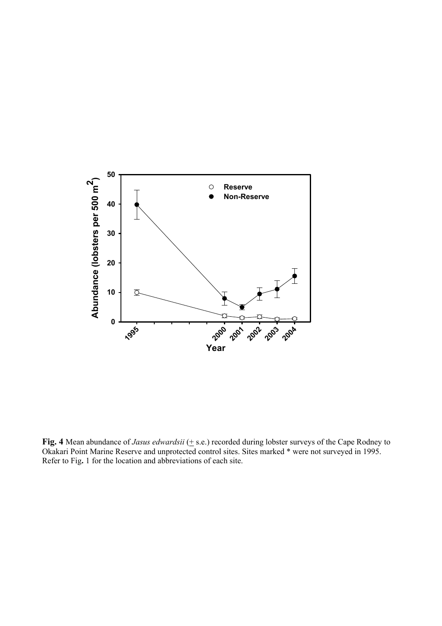

Fig. 4 Mean abundance of *Jasus edwardsii* ( $\pm$  s.e.) recorded during lobster surveys of the Cape Rodney to Okakari Point Marine Reserve and unprotected control sites. Sites marked \* were not surveyed in 1995. Refer to Fig**.** 1 for the location and abbreviations of each site.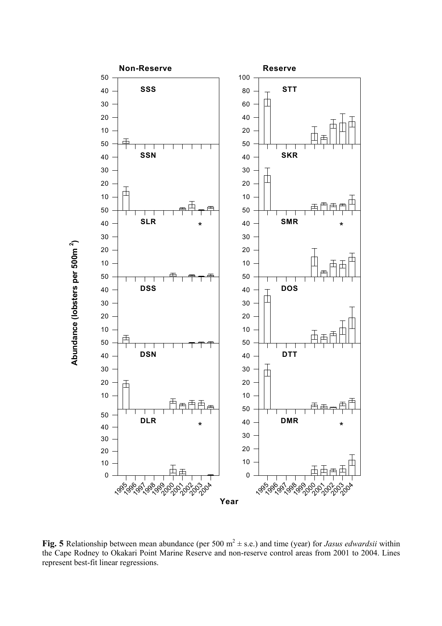

**Fig. 5** Relationship between mean abundance (per 500  $m^2 \pm s.e.$ ) and time (year) for *Jasus edwardsii* within the Cape Rodney to Okakari Point Marine Reserve and non-reserve control areas from 2001 to 2004. Lines represent best-fit linear regressions.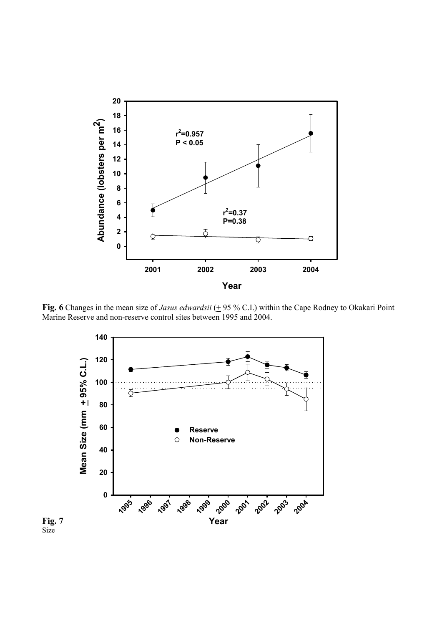

Fig. 6 Changes in the mean size of *Jasus edwardsii* (+ 95 % C.I.) within the Cape Rodney to Okakari Point Marine Reserve and non-reserve control sites between 1995 and 2004.



**Fig. 7**  Size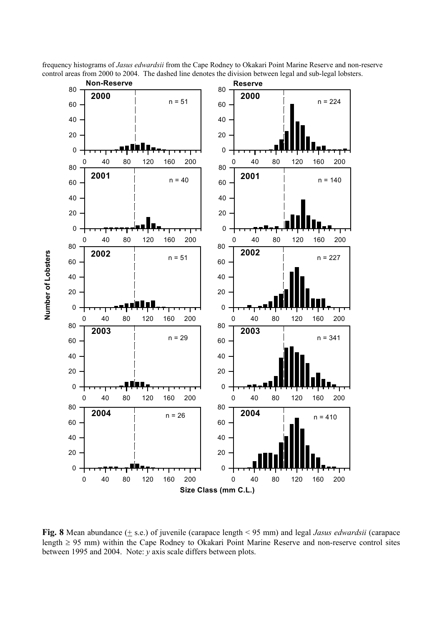

**Number of Lobsters**

frequency histograms of *Jasus edwardsii* from the Cape Rodney to Okakari Point Marine Reserve and non-reserve control areas from 2000 to 2004. The dashed line denotes the division between legal and sub-legal lobsters.

**Fig. 8** Mean abundance (+ s.e.) of juvenile (carapace length < 95 mm) and legal *Jasus edwardsii* (carapace length ≥ 95 mm) within the Cape Rodney to Okakari Point Marine Reserve and non-reserve control sites between 1995 and 2004. Note: *y* axis scale differs between plots.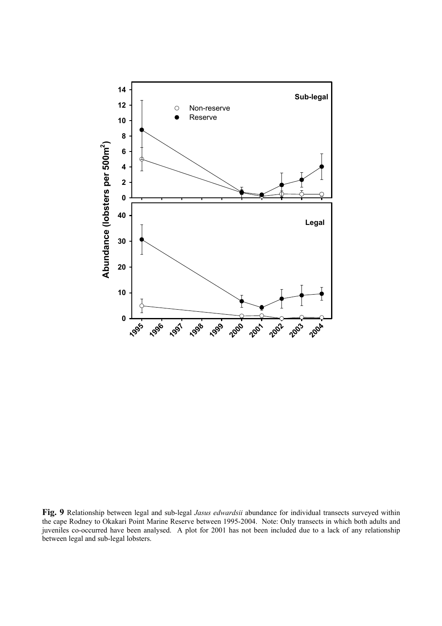

**Fig. 9** Relationship between legal and sub-legal *Jasus edwardsii* abundance for individual transects surveyed within the cape Rodney to Okakari Point Marine Reserve between 1995-2004. Note: Only transects in which both adults and juveniles co-occurred have been analysed. A plot for 2001 has not been included due to a lack of any relationship between legal and sub-legal lobsters.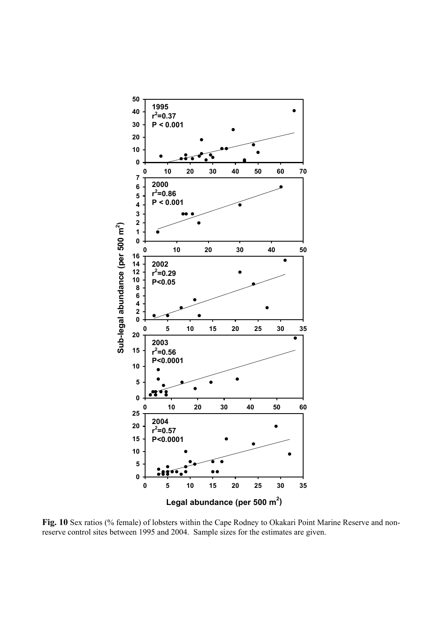

Fig. 10 Sex ratios (% female) of lobsters within the Cape Rodney to Okakari Point Marine Reserve and nonreserve control sites between 1995 and 2004. Sample sizes for the estimates are given.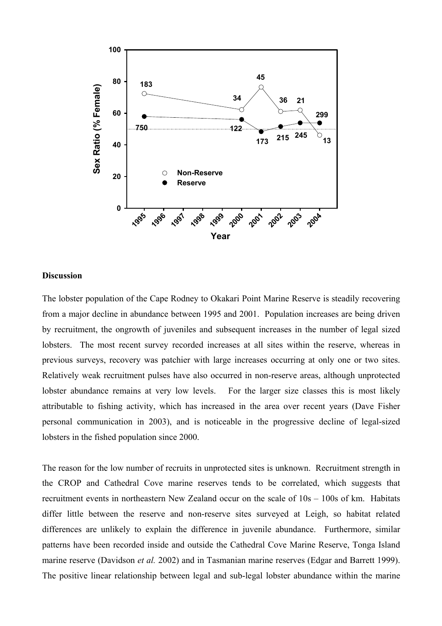

#### **Discussion**

The lobster population of the Cape Rodney to Okakari Point Marine Reserve is steadily recovering from a major decline in abundance between 1995 and 2001. Population increases are being driven by recruitment, the ongrowth of juveniles and subsequent increases in the number of legal sized lobsters. The most recent survey recorded increases at all sites within the reserve, whereas in previous surveys, recovery was patchier with large increases occurring at only one or two sites. Relatively weak recruitment pulses have also occurred in non-reserve areas, although unprotected lobster abundance remains at very low levels. For the larger size classes this is most likely attributable to fishing activity, which has increased in the area over recent years (Dave Fisher personal communication in 2003), and is noticeable in the progressive decline of legal-sized lobsters in the fished population since 2000.

The reason for the low number of recruits in unprotected sites is unknown. Recruitment strength in the CROP and Cathedral Cove marine reserves tends to be correlated, which suggests that recruitment events in northeastern New Zealand occur on the scale of 10s – 100s of km. Habitats differ little between the reserve and non-reserve sites surveyed at Leigh, so habitat related differences are unlikely to explain the difference in juvenile abundance. Furthermore, similar patterns have been recorded inside and outside the Cathedral Cove Marine Reserve, Tonga Island marine reserve (Davidson *et al.* 2002) and in Tasmanian marine reserves (Edgar and Barrett 1999). The positive linear relationship between legal and sub-legal lobster abundance within the marine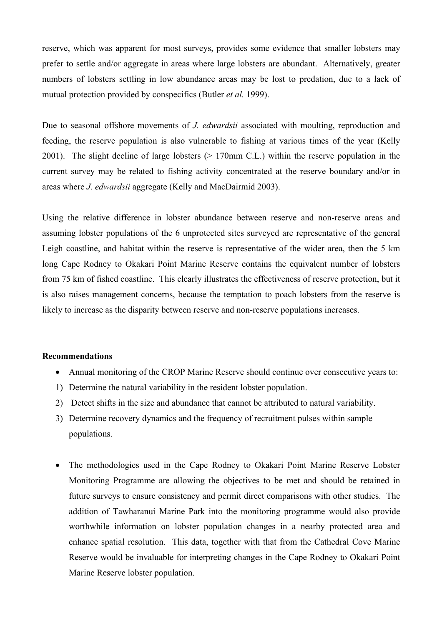reserve, which was apparent for most surveys, provides some evidence that smaller lobsters may prefer to settle and/or aggregate in areas where large lobsters are abundant. Alternatively, greater numbers of lobsters settling in low abundance areas may be lost to predation, due to a lack of mutual protection provided by conspecifics (Butler *et al.* 1999).

Due to seasonal offshore movements of *J. edwardsii* associated with moulting, reproduction and feeding, the reserve population is also vulnerable to fishing at various times of the year (Kelly 2001). The slight decline of large lobsters (> 170mm C.L.) within the reserve population in the current survey may be related to fishing activity concentrated at the reserve boundary and/or in areas where *J. edwardsii* aggregate (Kelly and MacDairmid 2003).

Using the relative difference in lobster abundance between reserve and non-reserve areas and assuming lobster populations of the 6 unprotected sites surveyed are representative of the general Leigh coastline, and habitat within the reserve is representative of the wider area, then the 5 km long Cape Rodney to Okakari Point Marine Reserve contains the equivalent number of lobsters from 75 km of fished coastline. This clearly illustrates the effectiveness of reserve protection, but it is also raises management concerns, because the temptation to poach lobsters from the reserve is likely to increase as the disparity between reserve and non-reserve populations increases.

#### **Recommendations**

- Annual monitoring of the CROP Marine Reserve should continue over consecutive years to:
- 1) Determine the natural variability in the resident lobster population.
- 2) Detect shifts in the size and abundance that cannot be attributed to natural variability.
- 3) Determine recovery dynamics and the frequency of recruitment pulses within sample populations.
- The methodologies used in the Cape Rodney to Okakari Point Marine Reserve Lobster Monitoring Programme are allowing the objectives to be met and should be retained in future surveys to ensure consistency and permit direct comparisons with other studies. The addition of Tawharanui Marine Park into the monitoring programme would also provide worthwhile information on lobster population changes in a nearby protected area and enhance spatial resolution. This data, together with that from the Cathedral Cove Marine Reserve would be invaluable for interpreting changes in the Cape Rodney to Okakari Point Marine Reserve lobster population.